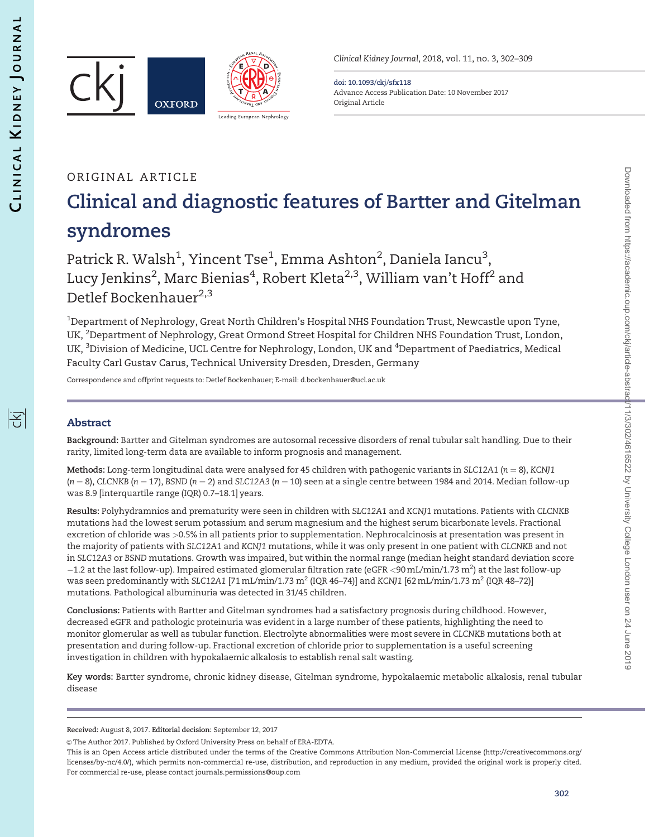



Clinical Kidney Journal, 2018, vol. 11, no. 3, 302–309

doi: 10.1093/ckj/sfx118 Advance Access Publication Date: 10 November 2017 Original Article

# ORIGINAL ARTICLE Clinical and diagnostic features of Bartter and Gitelman syndromes

Patrick R. Walsh $^1$ , Yincent Tse $^1$ , Emma Ashton $^2$ , Daniela Iancu $^3$ , Lucy Jenkins<sup>2</sup>, Marc Bienias<sup>4</sup>, Robert Kleta<sup>2,3</sup>, William van't Hoff<sup>2</sup> and Detlef Bockenhauer $^{2,3}$ 

 $^{\rm 1}$ Department of Nephrology, Great North Children's Hospital NHS Foundation Trust, Newcastle upon Tyne, UK, <sup>2</sup>Department of Nephrology, Great Ormond Street Hospital for Children NHS Foundation Trust, London, UK, <sup>3</sup>Division of Medicine, UCL Centre for Nephrology, London, UK and <sup>4</sup>Department of Paediatrics, Medical Faculty Carl Gustav Carus, Technical University Dresden, Dresden, Germany

Correspondence and offprint requests to: Detlef Bockenhauer; E-mail: d.bockenhauer@ucl.ac.uk

# Abstract

Background: Bartter and Gitelman syndromes are autosomal recessive disorders of renal tubular salt handling. Due to their rarity, limited long-term data are available to inform prognosis and management.

Methods: Long-term longitudinal data were analysed for 45 children with pathogenic variants in SLC12A1 ( $n = 8$ ), KCNJ1  $(n = 8)$ , CLCNKB ( $n = 17$ ), BSND ( $n = 2$ ) and SLC12A3 ( $n = 10$ ) seen at a single centre between 1984 and 2014. Median follow-up was 8.9 [interquartile range (IQR) 0.7–18.1] years.

Results: Polyhydramnios and prematurity were seen in children with SLC12A1 and KCNJ1 mutations. Patients with CLCNKB mutations had the lowest serum potassium and serum magnesium and the highest serum bicarbonate levels. Fractional excretion of chloride was >0.5% in all patients prior to supplementation. Nephrocalcinosis at presentation was present in the majority of patients with SLC12A1 and KCNJ1 mutations, while it was only present in one patient with CLCNKB and not in SLC12A3 or BSND mutations. Growth was impaired, but within the normal range (median height standard deviation score  $-1.2$  at the last follow-up). Impaired estimated glomerular filtration rate (eGFR <90 mL/min/1.73 m<sup>2</sup>) at the last follow-up was seen predominantly with SLC12A1 [71 mL/min/1.73  $m^2$  (IQR 46–74)] and KCNJ1 [62 mL/min/1.73  $m^2$  (IQR 48–72)] mutations. Pathological albuminuria was detected in 31/45 children.

Conclusions: Patients with Bartter and Gitelman syndromes had a satisfactory prognosis during childhood. However, decreased eGFR and pathologic proteinuria was evident in a large number of these patients, highlighting the need to monitor glomerular as well as tubular function. Electrolyte abnormalities were most severe in CLCNKB mutations both at presentation and during follow-up. Fractional excretion of chloride prior to supplementation is a useful screening investigation in children with hypokalaemic alkalosis to establish renal salt wasting.

Key words: Bartter syndrome, chronic kidney disease, Gitelman syndrome, hypokalaemic metabolic alkalosis, renal tubular disease

Received: August 8, 2017. Editorial decision: September 12, 2017

<sup>©</sup> The Author 2017. Published by Oxford University Press on behalf of ERA-EDTA.

This is an Open Access article distributed under the terms of the Creative Commons Attribution Non-Commercial License (http://creativecommons.org/ licenses/by-nc/4.0/), which permits non-commercial re-use, distribution, and reproduction in any medium, provided the original work is properly cited. For commercial re-use, please contact journals.permissions@oup.com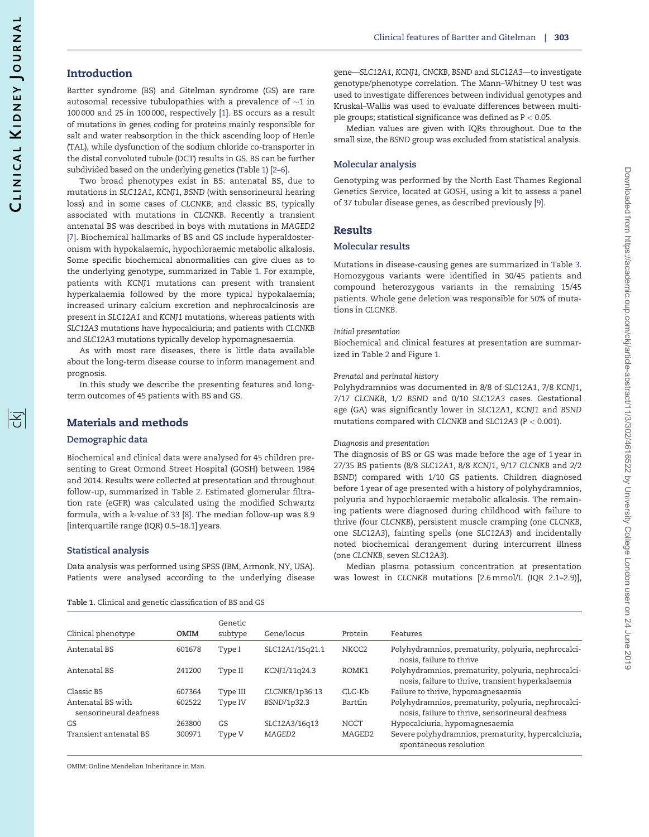阁

# <span id="page-1-0"></span>Introduction

Bartter syndrome (BS) and Gitelman syndrome (GS) are rare autosomal recessive tubulopathies with a prevalence of  $\sim$ 1 in 100 000 and 25 in 100 000, respectively [\[1](#page-6-0)]. BS occurs as a result of mutations in genes coding for proteins mainly responsible for salt and water reabsorption in the thick ascending loop of Henle (TAL), while dysfunction of the sodium chloride co-transporter in the distal convoluted tubule (DCT) results in GS. BS can be further subdivided based on the underlying genetics (Table 1) [\[2–6](#page-6-0)].

Two broad phenotypes exist in BS: antenatal BS, due to mutations in SLC12A1, KCNJ1, BSND (with sensorineural hearing loss) and in some cases of CLCNKB; and classic BS, typically associated with mutations in CLCNKB. Recently a transient antenatal BS was described in boys with mutations in MAGED2 [\[7\]](#page-6-0). Biochemical hallmarks of BS and GS include hyperaldosteronism with hypokalaemic, hypochloraemic metabolic alkalosis. Some specific biochemical abnormalities can give clues as to the underlying genotype, summarized in Table 1. For example, patients with KCNJ1 mutations can present with transient hyperkalaemia followed by the more typical hypokalaemia; increased urinary calcium excretion and nephrocalcinosis are present in SLC12A1 and KCNJ1 mutations, whereas patients with SLC12A3 mutations have hypocalciuria; and patients with CLCNKB and SLC12A3 mutations typically develop hypomagnesaemia.

As with most rare diseases, there is little data available about the long-term disease course to inform management and prognosis.

In this study we describe the presenting features and longterm outcomes of 45 patients with BS and GS.

# Materials and methods

#### Demographic data

Biochemical and clinical data were analysed for 45 children presenting to Great Ormond Street Hospital (GOSH) between 1984 and 2014. Results were collected at presentation and throughout follow-up, summarized in Table [2](#page-2-0). Estimated glomerular filtration rate (eGFR) was calculated using the modified Schwartz formula, with a k-value of 33 [\[8](#page-6-0)]. The median follow-up was 8.9 [interquartile range (IQR) 0.5–18.1] years.

## Statistical analysis

Data analysis was performed using SPSS (IBM, Armonk, NY, USA). Patients were analysed according to the underlying disease

Table 1. Clinical and genetic classification of BS and GS

gene—SLC12A1, KCNJ1, CNCKB, BSND and SLC12A3—to investigate genotype/phenotype correlation. The Mann–Whitney U test was used to investigate differences between individual genotypes and Kruskal–Wallis was used to evaluate differences between multiple groups; statistical significance was defined as P < 0.05.

Median values are given with IQRs throughout. Due to the small size, the BSND group was excluded from statistical analysis.

## Molecular analysis

Genotyping was performed by the North East Thames Regional Genetics Service, located at GOSH, using a kit to assess a panel of 37 tubular disease genes, as described previously [[9\]](#page-6-0).

# Results

## Molecular results

Mutations in disease-causing genes are summarized in Table [3](#page-3-0). Homozygous variants were identified in 30/45 patients and compound heterozygous variants in the remaining 15/45 patients. Whole gene deletion was responsible for 50% of mutations in CLCNKB.

#### Initial presentation

Biochemical and clinical features at presentation are summarized in Table [2](#page-2-0) and Figure [1](#page-4-0).

### Prenatal and perinatal history

Polyhydramnios was documented in 8/8 of SLC12A1, 7/8 KCNJ1, 7/17 CLCNKB, 1/2 BSND and 0/10 SLC12A3 cases. Gestational age (GA) was significantly lower in SLC12A1, KCNJ1 and BSND mutations compared with CLCNKB and SLC12A3 (P < 0.001).

## Diagnosis and presentation

The diagnosis of BS or GS was made before the age of 1 year in 27/35 BS patients (8/8 SLC12A1, 8/8 KCNJ1, 9/17 CLCNKB and 2/2 BSND) compared with 1/10 GS patients. Children diagnosed before 1 year of age presented with a history of polyhydramnios, polyuria and hypochloraemic metabolic alkalosis. The remaining patients were diagnosed during childhood with failure to thrive (four CLCNKB), persistent muscle cramping (one CLCNKB, one SLC12A3), fainting spells (one SLC12A3) and incidentally noted biochemical derangement during intercurrent illness (one CLCNKB, seven SLC12A3).

Median plasma potassium concentration at presentation was lowest in CLCNKB mutations [2.6 mmol/L (IQR 2.1–2.9)],

|                                             |             | Genetic  |                 |                    |                                                                                                          |
|---------------------------------------------|-------------|----------|-----------------|--------------------|----------------------------------------------------------------------------------------------------------|
| Clinical phenotype                          | <b>OMIM</b> | subtype  | Gene/locus      | Protein            | Features                                                                                                 |
| Antenatal BS                                | 601678      | Type I   | SLC12A1/15q21.1 | NKCC2              | Polyhydramnios, prematurity, polyuria, nephrocalci-<br>nosis, failure to thrive                          |
| Antenatal BS                                | 241200      | Type II  | KCNJ1/11q24.3   | ROMK1              | Polyhydramnios, prematurity, polyuria, nephrocalci-<br>nosis, failure to thrive, transient hyperkalaemia |
| Classic BS                                  | 607364      | Type III | CLCNKB/1p36.13  | CLC-Kb             | Failure to thrive, hypomagnesaemia                                                                       |
| Antenatal BS with<br>sensorineural deafness | 602522      | Type IV  | BSND/1p32.3     | Barttin            | Polyhydramnios, prematurity, polyuria, nephrocalci-<br>nosis, failure to thrive, sensorineural deafness  |
| GS                                          | 263800      | GS       | SLC12A3/16q13   | <b>NCCT</b>        | Hypocalciuria, hypomagnesaemia                                                                           |
| Transient antenatal BS                      | 300971      | Type V   | MAGED2          | MAGED <sub>2</sub> | Severe polyhydramnios, prematurity, hypercalciuria,<br>spontaneous resolution                            |

OMIM: Online Mendelian Inheritance in Man.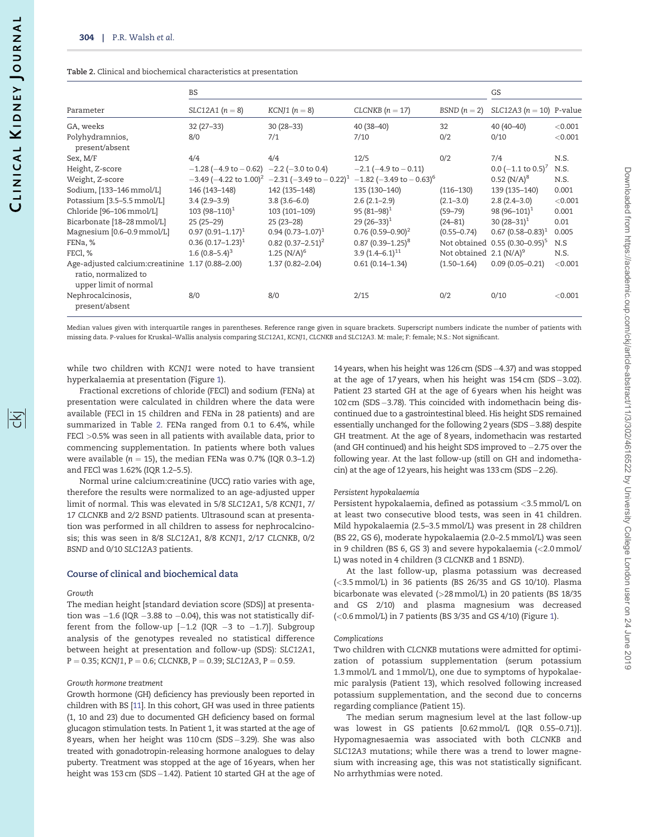#### <span id="page-2-0"></span>Table 2. Clinical and biochemical characteristics at presentation

|                                                                                                    | BS                                            | GS                                       |                                          |                            |                                            |         |
|----------------------------------------------------------------------------------------------------|-----------------------------------------------|------------------------------------------|------------------------------------------|----------------------------|--------------------------------------------|---------|
| Parameter                                                                                          | $SLC12A1 (n = 8)$                             | KCNJ1 $(n = 8)$                          | CLCNKB $(n = 17)$                        | BSND $(n=2)$               | SLC12A3 ( $n = 10$ ) P-value               |         |
| GA, weeks                                                                                          | $32(27-33)$                                   | $30(28-33)$                              | $40(38-40)$                              | 32                         | $40(40-40)$                                | < 0.001 |
| Polyhydramnios,<br>present/absent                                                                  | 8/0                                           | 7/1                                      | 7/10                                     | 0/2                        | 0/10                                       | < 0.001 |
| Sex, M/F                                                                                           | 4/4                                           | 4/4                                      | 12/5                                     | 0/2                        | 7/4                                        | N.S.    |
| Height, Z-score                                                                                    | $-1.28$ (-4.9 to $-0.62$ ) -2.2 (-3.0 to 0.4) |                                          | $-2.1$ ( $-4.9$ to $-0.11$ )             |                            | $0.0$ (-1.1 to $0.5$ ) <sup>7</sup>        | N.S.    |
| Weight, Z-score                                                                                    | $-3.49$ (-4.22 to 1.00) <sup>2</sup>          | $-2.31$ (-3.49 to $-0.22$ ) <sup>1</sup> | $-1.82$ (-3.49 to $-0.63$ ) <sup>6</sup> |                            | $0.52$ (N/A) <sup>8</sup>                  | N.S.    |
| Sodium, [133-146 mmol/L]                                                                           | 146 (143-148)                                 | 142 (135-148)                            | 135 (130-140)                            | $(116 - 130)$              | 139 (135-140)                              | 0.001   |
| Potassium [3.5-5.5 mmol/L]                                                                         | $3.4(2.9-3.9)$                                | $3.8(3.6 - 6.0)$                         | $2.6(2.1-2.9)$                           | $(2.1 - 3.0)$              | $2.8(2.4-3.0)$                             | < 0.001 |
| Chloride [96-106 mmol/L]                                                                           | $103(98-110)^1$                               | 103 (101-109)                            | 95 $(81 - 98)^1$                         | $(59 - 79)$                | 98 (96-101) <sup>1</sup>                   | 0.001   |
| Bicarbonate [18-28 mmol/L]                                                                         | $25(25-29)$                                   | $25(23-28)$                              | 29 $(26-33)^1$                           | $(24 - 81)$                | 30 $(28-31)^1$                             | 0.01    |
| Magnesium [0.6-0.9 mmol/L]                                                                         | $0.97$ $(0.91 - 1.17)^1$                      | $0.94(0.73 - 1.07)^{1}$                  | $0.76(0.59 - 0.90)^2$                    | $(0.55 - 0.74)$            | $0.67(0.58 - 0.83)^1$                      | 0.005   |
| FENa, %                                                                                            | $0.36(0.17-1.23)^{1}$                         | $0.82(0.37 - 2.51)^2$                    | $0.87(0.39-1.25)^8$                      |                            | Not obtained 0.55 (0.30-0.95) <sup>5</sup> | N.S     |
| FECI, %                                                                                            | 1.6 $(0.8-5.4)^3$                             | 1.25 $(N/A)^6$                           | $3.9(1.4-6.1)^{11}$                      | Not obtained $2.1 (N/A)^9$ |                                            | N.S.    |
| Age-adjusted calcium: creatinine 1.17 (0.88-2.00)<br>ratio, normalized to<br>upper limit of normal |                                               | $1.37(0.82 - 2.04)$                      | $0.61(0.14 - 1.34)$                      | $(1.50 - 1.64)$            | $0.09(0.05 - 0.21)$                        | < 0.001 |
| Nephrocalcinosis,<br>present/absent                                                                | 8/0                                           | 8/0                                      | 2/15                                     | 0/2                        | 0/10                                       | < 0.001 |

Median values given with interquartile ranges in parentheses. Reference range given in square brackets. Superscript numbers indicate the number of patients with missing data. P-values for Kruskal–Wallis analysis comparing SLC12A1, KCNJ1, CLCNKB and SLC12A3. M: male; F: female; N.S.: Not significant.

while two children with KCNJ1 were noted to have transient hyperkalaemia at presentation (Figure [1\)](#page-4-0).

Fractional excretions of chloride (FECl) and sodium (FENa) at presentation were calculated in children where the data were available (FECl in 15 children and FENa in 28 patients) and are summarized in Table 2. FENa ranged from 0.1 to 6.4%, while FECl >0.5% was seen in all patients with available data, prior to commencing supplementation. In patients where both values were available ( $n = 15$ ), the median FENa was 0.7% (IQR 0.3-1.2) and FECl was 1.62% (IQR 1.2–5.5).

Normal urine calcium:creatinine (UCC) ratio varies with age, therefore the results were normalized to an age-adjusted upper limit of normal. This was elevated in 5/8 SLC12A1, 5/8 KCNJ1, 7/ 17 CLCNKB and 2/2 BSND patients. Ultrasound scan at presentation was performed in all children to assess for nephrocalcinosis; this was seen in 8/8 SLC12A1, 8/8 KCNJ1, 2/17 CLCNKB, 0/2 BSND and 0/10 SLC12A3 patients.

#### Course of clinical and biochemical data

#### Growth

The median height [standard deviation score (SDS)] at presentation was –1.6 (IQR –3.88 to –0.04), this was not statistically different from the follow-up [-1.2 (IQR -3 to -1.7)]. Subgroup analysis of the genotypes revealed no statistical difference between height at presentation and follow-up (SDS): SLC12A1,  $P = 0.35$ ; KCNJ1, P = 0.6; CLCNKB, P = 0.39; SLC12A3, P = 0.59.

#### Growth hormone treatment

Growth hormone (GH) deficiency has previously been reported in children with BS [\[11](#page-6-0)]. In this cohort, GH was used in three patients (1, 10 and 23) due to documented GH deficiency based on formal glucagon stimulation tests. In Patient 1, it was started at the age of 8 years, when her height was 110 cm (SDS-3.29). She was also treated with gonadotropin-releasing hormone analogues to delay puberty. Treatment was stopped at the age of 16 years, when her height was 153 cm (SDS-1.42). Patient 10 started GH at the age of

14 years, when his height was 126 cm (SDS-4.37) and was stopped at the age of 17 years, when his height was 154 cm (SDS-3.02). Patient 23 started GH at the age of 6 years when his height was 102 cm (SDS-3.78). This coincided with indomethacin being discontinued due to a gastrointestinal bleed. His height SDS remained essentially unchanged for the following 2 years (SDS-3.88) despite GH treatment. At the age of 8 years, indomethacin was restarted (and GH continued) and his height SDS improved to  $-2.75$  over the following year. At the last follow-up (still on GH and indomethacin) at the age of 12 years, his height was 133 cm (SDS-2.26).

#### Persistent hypokalaemia

Persistent hypokalaemia, defined as potassium <3.5 mmol/L on at least two consecutive blood tests, was seen in 41 children. Mild hypokalaemia (2.5–3.5 mmol/L) was present in 28 children (BS 22, GS 6), moderate hypokalaemia (2.0–2.5 mmol/L) was seen in 9 children (BS 6, GS 3) and severe hypokalaemia (<2.0 mmol/ L) was noted in 4 children (3 CLCNKB and 1 BSND).

At the last follow-up, plasma potassium was decreased (<3.5 mmol/L) in 36 patients (BS 26/35 and GS 10/10). Plasma bicarbonate was elevated (>28 mmol/L) in 20 patients (BS 18/35 and GS 2/10) and plasma magnesium was decreased (<0.6 mmol/L) in 7 patients (BS 3/35 and GS 4/10) (Figure [1](#page-4-0)).

#### Complications

Two children with CLCNKB mutations were admitted for optimization of potassium supplementation (serum potassium 1.3 mmol/L and 1 mmol/L), one due to symptoms of hypokalaemic paralysis (Patient 13), which resolved following increased potassium supplementation, and the second due to concerns regarding compliance (Patient 15).

The median serum magnesium level at the last follow-up was lowest in GS patients [0.62 mmol/L (IQR 0.55–0.71)]. Hypomagnesaemia was associated with both CLCNKB and SLC12A3 mutations; while there was a trend to lower magnesium with increasing age, this was not statistically significant. No arrhythmias were noted.

序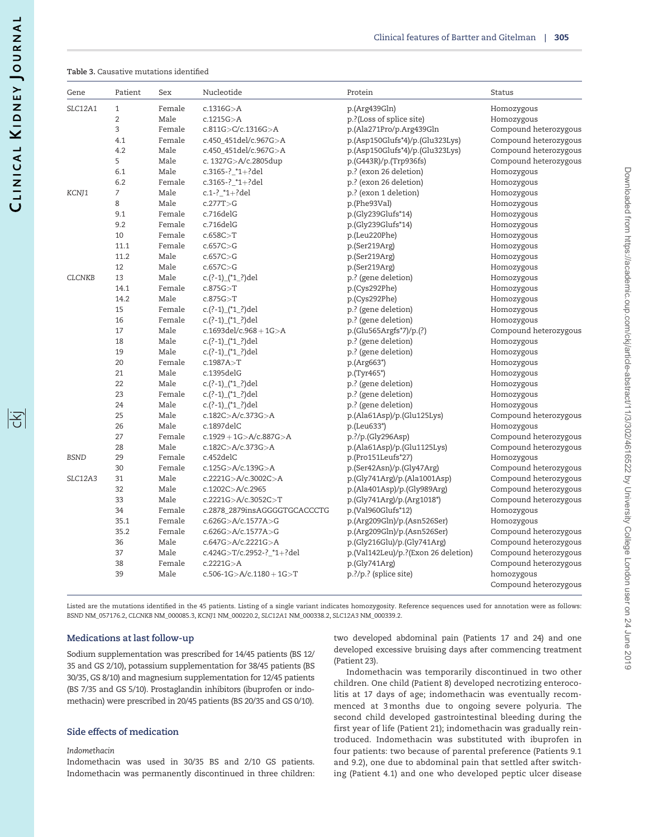序

<span id="page-3-0"></span>Table 3. Causative mutations identified

| Gene          | Patient        | Sex    | Nucleotide                       | Protein                             | Status                |
|---------------|----------------|--------|----------------------------------|-------------------------------------|-----------------------|
| SLC12A1       | $\mathbf{1}$   | Female | c.1316G > A                      | p.(Arg439Gln)                       | Homozygous            |
|               | $\overline{2}$ | Male   | c.1215G > A                      | p.?(Loss of splice site)            | Homozygous            |
|               | 3              | Female | c.811G>C/c.1316G>A               | p.(Ala271Pro/p.Arg439Gln            | Compound heterozygous |
|               | 4.1            | Female | c.450_451del/c.967G>A            | $p.(Asp150Glufs*4)/p.(Glu323Lys)$   | Compound heterozygous |
|               | 4.2            | Male   | c.450_451del/c.967G>A            | $p.(Asp150Glufs*4)/p.(Glu323Lys)$   | Compound heterozygous |
|               | 5              | Male   | c. 1327G>A/c.2805dup             | p.(G443R)/p.(Trp936fs)              | Compound heterozygous |
|               | 6.1            | Male   | c.3165-? $*1+?$ del              | p.? (exon 26 deletion)              | Homozygous            |
|               | 6.2            | Female | c.3165-? $*1+?del$               | p.? (exon 26 deletion)              | Homozygous            |
| KCNJ1         | 7              | Male   | c.1-? $*1+?$ del                 | p.? (exon 1 deletion)               | Homozygous            |
| 8             |                | Male   | c.277T > G                       | p.(Phe93Val)                        | Homozygous            |
|               | 9.1            | Female | c.716delG                        | p.(Gly239Glufs*14)                  | Homozygous            |
|               | 9.2            | Female | c.716delG                        | p.(Gly239Glufs*14)                  | Homozygous            |
|               | 10             | Female | c.658C > T                       | p.(Leu220Phe)                       | Homozygous            |
|               | 11.1           | Female | c.657C > G                       | p.(Ser219Arg)                       | Homozygous            |
|               | 11.2           | Male   | c.657C > G                       | p.(Ser219Arg)                       | Homozygous            |
|               | 12             | Male   | c.657C > G                       | p.(Ser219Arg)                       | Homozygous            |
| <b>CLCNKB</b> | 13             | Male   | c.(?-1)_(*1_?)del                | p.? (gene deletion)                 | Homozygous            |
|               | 14.1           | Female | c.875G > T                       | p.(Cys292Phe)                       | Homozygous            |
|               | 14.2           | Male   | c.875G > T                       | p.(Cys292Phe)                       | Homozygous            |
|               | 15             | Female | c.(?-1)_(*1_?)del                | p.? (gene deletion)                 | Homozygous            |
|               | 16             | Female | c.(?-1)_(*1_?)del                | p.? (gene deletion)                 | Homozygous            |
|               | 17             | Male   | c.1693del/c.968 + $1G > A$       | p.(Glu565Argfs*7)/p.(?)             | Compound heterozygous |
|               | 18             | Male   | c.(?-1)_(*1_?)del                | p.? (gene deletion)                 | Homozygous            |
|               | 19             | Male   | c.(?-1)_(*1_?)del                | p.? (gene deletion)                 | Homozygous            |
|               | 20             | Female | c.1987A > T                      | p.(Arg663*)                         | Homozygous            |
|               | 21             | Male   | c.1395delG                       | p.(Tyr465*)                         | Homozygous            |
|               | 22             | Male   | c.(?-1)_(*1_?)del                | p.? (gene deletion)                 | Homozygous            |
|               | 23             | Female | c.(?-1)_(*1_?)del                | p.? (gene deletion)                 | Homozygous            |
|               | 24             | Male   | c.(?-1)_(*1_?)del                | p.? (gene deletion)                 | Homozygous            |
|               | 25             | Male   | c.182C>A/c.373G>A                | p.(Ala61Asp)/p.(Glu125Lys)          | Compound heterozygous |
|               | 26             | Male   | c.1897delC                       | p.(Leu633*)                         | Homozygous            |
|               | 27             | Female | $c.1929 + 1G > A/c.887G > A$     | p.?/p.(Gly296Asp)                   | Compound heterozygous |
|               | 28             | Male   | c.182C>A/c.373G>A                | p.(Ala61Asp)/p.(Glu1125Lys)         | Compound heterozygous |
| <b>BSND</b>   | 29             | Female | c.452delC                        | p.(Pro151Leufs*27)                  | Homozygous            |
|               | 30             | Female | c.125G > A/c.139G > A            | p.(Ser42Asn)/p.(Gly47Arg)           | Compound heterozygous |
| SLC12A3       | 31             | Male   | c.2221G>A/c.3002C>A              | p.(Gly741Arg)/p.(Ala1001Asp)        | Compound heterozygous |
|               | 32             | Male   | c.1202C>A/c.2965                 | p.(Ala401Asp)/p.(Gly989Arg)         | Compound heterozygous |
|               | 33             | Male   | c.2221G>A/c.3052C>T              | p.(Gly741Arg)/p.(Arg1018*)          | Compound heterozygous |
|               | 34             | Female | c.2878_2879insAGGGGTGCACCCTG     | p.(Val960Glufs*12)                  | Homozygous            |
|               | 35.1           | Female | c.626G>A/c.1577A>G               | p.(Arg209Gln)/p.(Asn526Ser)         | Homozygous            |
|               | 35.2           | Female | c.626G>A/c.1577A>G               | p.(Arg209Gln)/p.(Asn526Ser)         | Compound heterozygous |
|               | 36             | Male   | c.647G>A/c.2221G>A               | p.(Gly216Glu)/p.(Gly741Arg)         | Compound heterozygous |
|               | 37             | Male   | c.424G>T/c.2952-?_*1+?del        | p.(Val142Leu)/p.?(Exon 26 deletion) | Compound heterozygous |
|               | 38             | Female | c.2221G > A                      | p.(Gly741Arg)                       | Compound heterozygous |
|               | 39             | Male   | $c.506 - 1G > A/c.1180 + 1G > T$ | p.?/p.? (splice site)               | homozygous            |
|               |                |        |                                  |                                     | Compound heterozygous |

Listed are the mutations identified in the 45 patients. Listing of a single variant indicates homozygosity. Reference sequences used for annotation were as follows: BSND NM\_057176.2, CLCNKB NM\_000085.3, KCNJ1 NM\_000220.2, SLC12A1 NM\_000338.2, SLC12A3 NM\_000339.2.

#### Medications at last follow-up

Sodium supplementation was prescribed for 14/45 patients (BS 12/ 35 and GS 2/10), potassium supplementation for 38/45 patients (BS 30/35, GS 8/10) and magnesium supplementation for 12/45 patients (BS 7/35 and GS 5/10). Prostaglandin inhibitors (ibuprofen or indomethacin) were prescribed in 20/45 patients (BS 20/35 and GS 0/10).

# Side effects of medication

## Indomethacin

Indomethacin was used in 30/35 BS and 2/10 GS patients. Indomethacin was permanently discontinued in three children: two developed abdominal pain (Patients 17 and 24) and one developed excessive bruising days after commencing treatment (Patient 23).

Indomethacin was temporarily discontinued in two other children. One child (Patient 8) developed necrotizing enterocolitis at 17 days of age; indomethacin was eventually recommenced at 3 months due to ongoing severe polyuria. The second child developed gastrointestinal bleeding during the first year of life (Patient 21); indomethacin was gradually reintroduced. Indomethacin was substituted with ibuprofen in four patients: two because of parental preference (Patients 9.1 and 9.2), one due to abdominal pain that settled after switching (Patient 4.1) and one who developed peptic ulcer disease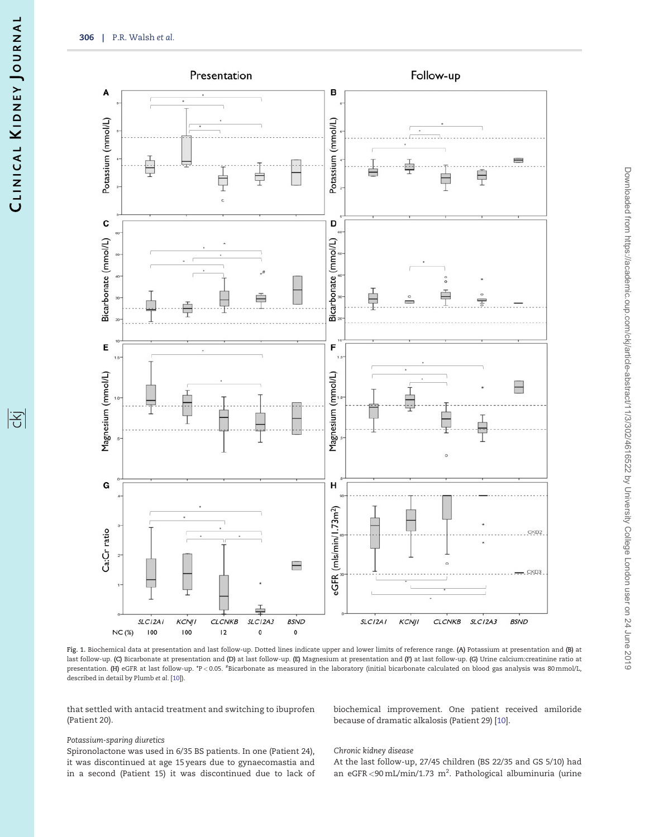<span id="page-4-0"></span>

Fig. 1. Biochemical data at presentation and last follow-up. Dotted lines indicate upper and lower limits of reference range. (A) Potassium at presentation and (B) at last follow-up. (C) Bicarbonate at presentation and (D) at last follow-up. (E) Magnesium at presentation and (F) at last follow-up. (G) Urine calcium:creatinine ratio at presentation. (H) eGFR at last follow-up. \*P<0.05. <sup>#</sup>Bicarbonate as measured in the laboratory (initial bicarbonate calculated on blood gas analysis was 80 mmol/L, described in detail by Plumb et al. [[10\]](#page-6-0)).

that settled with antacid treatment and switching to ibuprofen (Patient 20).

biochemical improvement. One patient received amiloride because of dramatic alkalosis (Patient 29) [\[10](#page-6-0)].

## Potassium-sparing diuretics

Spironolactone was used in 6/35 BS patients. In one (Patient 24), it was discontinued at age 15 years due to gynaecomastia and in a second (Patient 15) it was discontinued due to lack of

#### Chronic kidney disease

At the last follow-up, 27/45 children (BS 22/35 and GS 5/10) had an eGFR < 90 mL/min/1.73  $m^2$ . Pathological albuminuria (urine

|공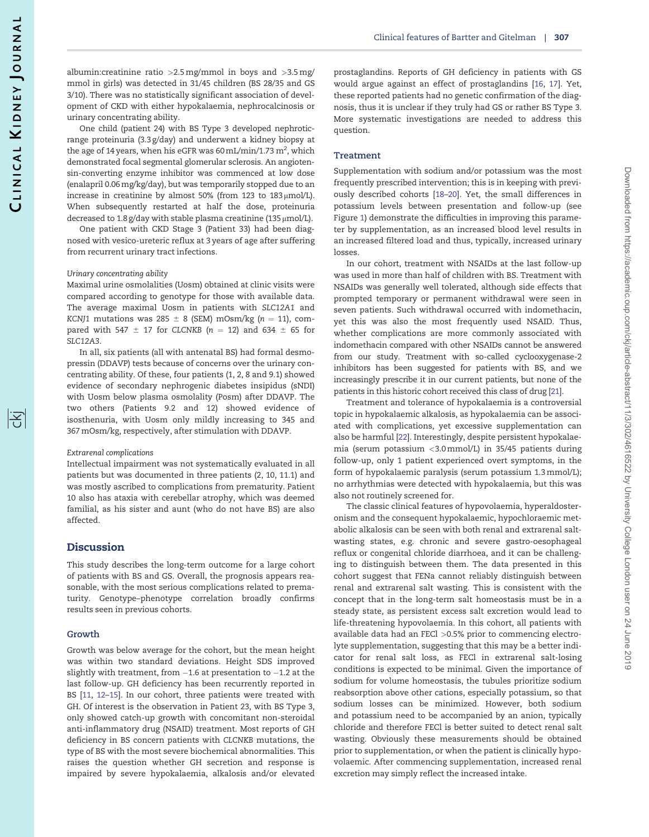序

<span id="page-5-0"></span>albumin: creatinine ratio  $>2.5$  mg/mmol in boys and  $>3.5$  mg/ mmol in girls) was detected in 31/45 children (BS 28/35 and GS 3/10). There was no statistically significant association of development of CKD with either hypokalaemia, nephrocalcinosis or urinary concentrating ability.

One child (patient 24) with BS Type 3 developed nephroticrange proteinuria (3.3 g/day) and underwent a kidney biopsy at the age of 14 years, when his eGFR was 60 mL/min/1.73  $\mathrm{m}^{2}$ , which demonstrated focal segmental glomerular sclerosis. An angiotensin-converting enzyme inhibitor was commenced at low dose (enalapril 0.06 mg/kg/day), but was temporarily stopped due to an increase in creatinine by almost 50% (from 123 to  $183 \mu$ mol/L). When subsequently restarted at half the dose, proteinuria decreased to 1.8 g/day with stable plasma creatinine (135  $\mu$ mol/L).

One patient with CKD Stage 3 (Patient 33) had been diagnosed with vesico-ureteric reflux at 3 years of age after suffering from recurrent urinary tract infections.

#### Urinary concentrating ability

Maximal urine osmolalities (Uosm) obtained at clinic visits were compared according to genotype for those with available data. The average maximal Uosm in patients with SLC12A1 and KCNJ1 mutations was 285  $\pm$  8 (SEM) mOsm/kg (n = 11), compared with 547  $\pm$  17 for CLCNKB (n = 12) and 634  $\pm$  65 for SLC12A3.

In all, six patients (all with antenatal BS) had formal desmopressin (DDAVP) tests because of concerns over the urinary concentrating ability. Of these, four patients (1, 2, 8 and 9.1) showed evidence of secondary nephrogenic diabetes insipidus (sNDI) with Uosm below plasma osmolality (Posm) after DDAVP. The two others (Patients 9.2 and 12) showed evidence of isosthenuria, with Uosm only mildly increasing to 345 and 367 mOsm/kg, respectively, after stimulation with DDAVP.

#### Extrarenal complications

Intellectual impairment was not systematically evaluated in all patients but was documented in three patients (2, 10, 11.1) and was mostly ascribed to complications from prematurity. Patient 10 also has ataxia with cerebellar atrophy, which was deemed familial, as his sister and aunt (who do not have BS) are also affected.

## **Discussion**

This study describes the long-term outcome for a large cohort of patients with BS and GS. Overall, the prognosis appears reasonable, with the most serious complications related to prematurity. Genotype–phenotype correlation broadly confirms results seen in previous cohorts.

### Growth

Growth was below average for the cohort, but the mean height was within two standard deviations. Height SDS improved slightly with treatment, from –1.6 at presentation to –1.2 at the last follow-up. GH deficiency has been recurrently reported in BS [[11](#page-6-0), [12–15\]](#page-7-0). In our cohort, three patients were treated with GH. Of interest is the observation in Patient 23, with BS Type 3, only showed catch-up growth with concomitant non-steroidal anti-inflammatory drug (NSAID) treatment. Most reports of GH deficiency in BS concern patients with CLCNKB mutations, the type of BS with the most severe biochemical abnormalities. This raises the question whether GH secretion and response is impaired by severe hypokalaemia, alkalosis and/or elevated

prostaglandins. Reports of GH deficiency in patients with GS would argue against an effect of prostaglandins [[16,](#page-7-0) [17\]](#page-7-0). Yet, these reported patients had no genetic confirmation of the diagnosis, thus it is unclear if they truly had GS or rather BS Type 3. More systematic investigations are needed to address this question.

#### **Treatment**

Supplementation with sodium and/or potassium was the most frequently prescribed intervention; this is in keeping with previously described cohorts [[18–20](#page-7-0)]. Yet, the small differences in potassium levels between presentation and follow-up (see Figure [1](#page-4-0)) demonstrate the difficulties in improving this parameter by supplementation, as an increased blood level results in an increased filtered load and thus, typically, increased urinary losses.

In our cohort, treatment with NSAIDs at the last follow-up was used in more than half of children with BS. Treatment with NSAIDs was generally well tolerated, although side effects that prompted temporary or permanent withdrawal were seen in seven patients. Such withdrawal occurred with indomethacin, yet this was also the most frequently used NSAID. Thus, whether complications are more commonly associated with indomethacin compared with other NSAIDs cannot be answered from our study. Treatment with so-called cyclooxygenase-2 inhibitors has been suggested for patients with BS, and we increasingly prescribe it in our current patients, but none of the patients in this historic cohort received this class of drug [\[21](#page-7-0)].

Treatment and tolerance of hypokalaemia is a controversial topic in hypokalaemic alkalosis, as hypokalaemia can be associated with complications, yet excessive supplementation can also be harmful [\[22](#page-7-0)]. Interestingly, despite persistent hypokalaemia (serum potassium <3.0 mmol/L) in 35/45 patients during follow-up, only 1 patient experienced overt symptoms, in the form of hypokalaemic paralysis (serum potassium 1.3 mmol/L); no arrhythmias were detected with hypokalaemia, but this was also not routinely screened for.

The classic clinical features of hypovolaemia, hyperaldosteronism and the consequent hypokalaemic, hypochloraemic metabolic alkalosis can be seen with both renal and extrarenal saltwasting states, e.g. chronic and severe gastro-oesophageal reflux or congenital chloride diarrhoea, and it can be challenging to distinguish between them. The data presented in this cohort suggest that FENa cannot reliably distinguish between renal and extrarenal salt wasting. This is consistent with the concept that in the long-term salt homeostasis must be in a steady state, as persistent excess salt excretion would lead to life-threatening hypovolaemia. In this cohort, all patients with available data had an FECl >0.5% prior to commencing electrolyte supplementation, suggesting that this may be a better indicator for renal salt loss, as FECl in extrarenal salt-losing conditions is expected to be minimal. Given the importance of sodium for volume homeostasis, the tubules prioritize sodium reabsorption above other cations, especially potassium, so that sodium losses can be minimized. However, both sodium and potassium need to be accompanied by an anion, typically chloride and therefore FECl is better suited to detect renal salt wasting. Obviously these measurements should be obtained prior to supplementation, or when the patient is clinically hypovolaemic. After commencing supplementation, increased renal excretion may simply reflect the increased intake.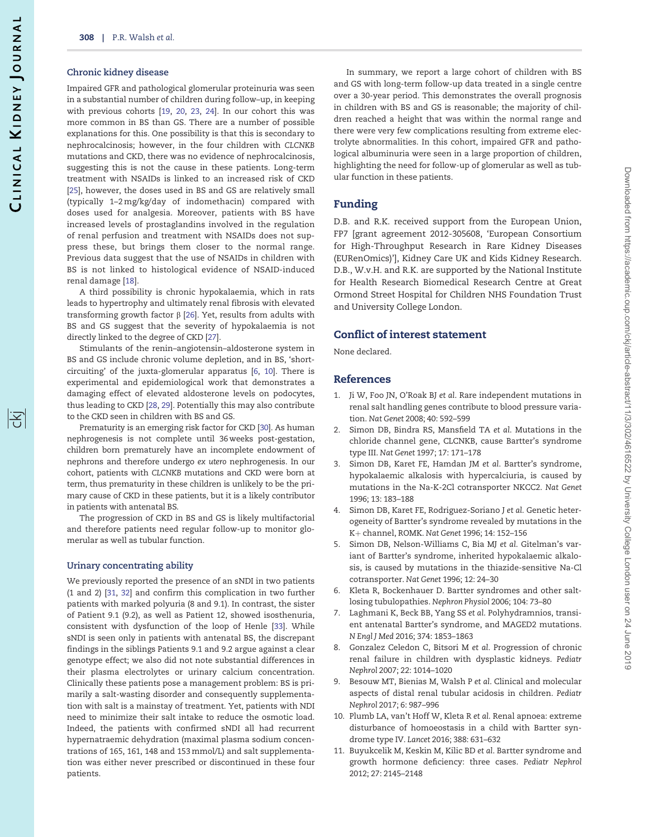#### <span id="page-6-0"></span>Chronic kidney disease

Impaired GFR and pathological glomerular proteinuria was seen in a substantial number of children during follow–up, in keeping with previous cohorts [\[19,](#page-7-0) [20,](#page-7-0) [23](#page-7-0), [24](#page-7-0)]. In our cohort this was more common in BS than GS. There are a number of possible explanations for this. One possibility is that this is secondary to nephrocalcinosis; however, in the four children with CLCNKB mutations and CKD, there was no evidence of nephrocalcinosis, suggesting this is not the cause in these patients. Long-term treatment with NSAIDs is linked to an increased risk of CKD [\[25\]](#page-7-0), however, the doses used in BS and GS are relatively small (typically 1–2 mg/kg/day of indomethacin) compared with doses used for analgesia. Moreover, patients with BS have increased levels of prostaglandins involved in the regulation of renal perfusion and treatment with NSAIDs does not suppress these, but brings them closer to the normal range. Previous data suggest that the use of NSAIDs in children with BS is not linked to histological evidence of NSAID-induced renal damage [\[18\]](#page-7-0).

A third possibility is chronic hypokalaemia, which in rats leads to hypertrophy and ultimately renal fibrosis with elevated transforming growth factor  $\beta$  [\[26\]](#page-7-0). Yet, results from adults with BS and GS suggest that the severity of hypokalaemia is not directly linked to the degree of CKD [\[27](#page-7-0)].

Stimulants of the renin–angiotensin–aldosterone system in BS and GS include chronic volume depletion, and in BS, 'shortcircuiting' of the juxta-glomerular apparatus [6, 10]. There is experimental and epidemiological work that demonstrates a damaging effect of elevated aldosterone levels on podocytes, thus leading to CKD [\[28](#page-7-0), [29\]](#page-7-0). Potentially this may also contribute to the CKD seen in children with BS and GS.

Prematurity is an emerging risk factor for CKD [\[30](#page-7-0)]. As human nephrogenesis is not complete until 36 weeks post-gestation, children born prematurely have an incomplete endowment of nephrons and therefore undergo ex utero nephrogenesis. In our cohort, patients with CLCNKB mutations and CKD were born at term, thus prematurity in these children is unlikely to be the primary cause of CKD in these patients, but it is a likely contributor in patients with antenatal BS.

The progression of CKD in BS and GS is likely multifactorial and therefore patients need regular follow-up to monitor glomerular as well as tubular function.

#### Urinary concentrating ability

We previously reported the presence of an sNDI in two patients (1 and 2) [\[31](#page-7-0), [32\]](#page-7-0) and confirm this complication in two further patients with marked polyuria (8 and 9.1). In contrast, the sister of Patient 9.1 (9.2), as well as Patient 12, showed isosthenuria, consistent with dysfunction of the loop of Henle [[33](#page-7-0)]. While sNDI is seen only in patients with antenatal BS, the discrepant findings in the siblings Patients 9.1 and 9.2 argue against a clear genotype effect; we also did not note substantial differences in their plasma electrolytes or urinary calcium concentration. Clinically these patients pose a management problem: BS is primarily a salt-wasting disorder and consequently supplementation with salt is a mainstay of treatment. Yet, patients with NDI need to minimize their salt intake to reduce the osmotic load. Indeed, the patients with confirmed sNDI all had recurrent hypernatraemic dehydration (maximal plasma sodium concentrations of 165, 161, 148 and 153 mmol/L) and salt supplementation was either never prescribed or discontinued in these four patients.

In summary, we report a large cohort of children with BS and GS with long-term follow-up data treated in a single centre over a 30-year period. This demonstrates the overall prognosis in children with BS and GS is reasonable; the majority of children reached a height that was within the normal range and there were very few complications resulting from extreme electrolyte abnormalities. In this cohort, impaired GFR and pathological albuminuria were seen in a large proportion of children, highlighting the need for follow-up of glomerular as well as tubular function in these patients.

## Funding

D.B. and R.K. received support from the European Union, FP7 [grant agreement 2012-305608, 'European Consortium for High-Throughput Research in Rare Kidney Diseases (EURenOmics)'], Kidney Care UK and Kids Kidney Research. D.B., W.v.H. and R.K. are supported by the National Institute for Health Research Biomedical Research Centre at Great Ormond Street Hospital for Children NHS Foundation Trust and University College London.

## Conflict of interest statement

None declared.

## References

- [1](#page-1-0). Ji W, Foo JN, O'Roak BJ et al. Rare independent mutations in renal salt handling genes contribute to blood pressure variation. Nat Genet 2008; 40: 592–599
- 2. Simon DB, Bindra RS, Mansfield TA et al. Mutations in the chloride channel gene, CLCNKB, cause Bartter's syndrome type III. Nat Genet 1997; 17: 171–178
- 3. Simon DB, Karet FE, Hamdan JM et al. Bartter's syndrome, hypokalaemic alkalosis with hypercalciuria, is caused by mutations in the Na-K-2Cl cotransporter NKCC2. Nat Genet 1996; 13: 183–188
- 4. Simon DB, Karet FE, Rodriguez-Soriano J et al. Genetic heterogeneity of Bartter's syndrome revealed by mutations in the K+ channel, ROMK. Nat Genet 1996; 14: 152-156
- 5. Simon DB, Nelson-Williams C, Bia MJ et al. Gitelman's variant of Bartter's syndrome, inherited hypokalaemic alkalosis, is caused by mutations in the thiazide-sensitive Na-Cl cotransporter. Nat Genet 1996; 12: 24–30
- 6. Kleta R, Bockenhauer D. Bartter syndromes and other saltlosing tubulopathies. Nephron Physiol 2006; 104: 73–80
- [7](#page-1-0). Laghmani K, Beck BB, Yang SS et al. Polyhydramnios, transient antenatal Bartter's syndrome, and MAGED2 mutations. N Engl J Med 2016; 374: 1853–1863
- [8](#page-1-0). Gonzalez Celedon C, Bitsori M et al. Progression of chronic renal failure in children with dysplastic kidneys. Pediatr Nephrol 2007; 22: 1014–1020
- [9](#page-1-0). Besouw MT, Bienias M, Walsh P et al. Clinical and molecular aspects of distal renal tubular acidosis in children. Pediatr Nephrol 2017; 6: 987–996
- [10](#page-4-0). Plumb LA, van't Hoff W, Kleta R et al. Renal apnoea: extreme disturbance of homoeostasis in a child with Bartter syndrome type IV. Lancet 2016; 388: 631–632
- [11](#page-2-0). Buyukcelik M, Keskin M, Kilic BD et al. Bartter syndrome and growth hormone deficiency: three cases. Pediatr Nephrol 2012; 27: 2145–2148

序